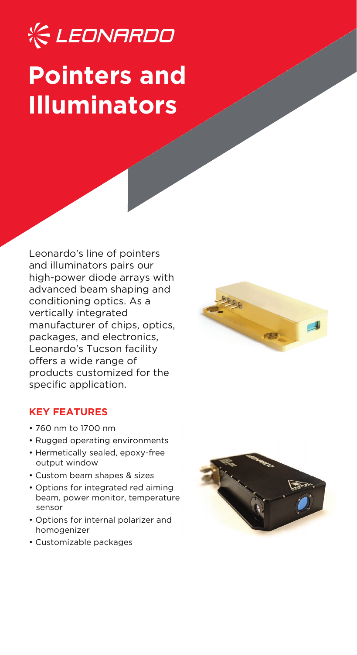# **KE LEONARDO Pointers and Illuminators**

Leonardo's line of pointers and illuminators pairs our high-power diode arrays with advanced beam shaping and conditioning optics. As a vertically integrated manufacturer of chips, optics, packages, and electronics, Leonardo's Tucson facility offers a wide range of products customized for the specific application.



- 760 nm to 1700 nm
- Rugged operating environments
- Hermetically sealed, epoxy-free output window
- Custom beam shapes & sizes
- Options for integrated red aiming beam, power monitor, temperature sensor
- Options for internal polarizer and homogenizer
- Customizable packages